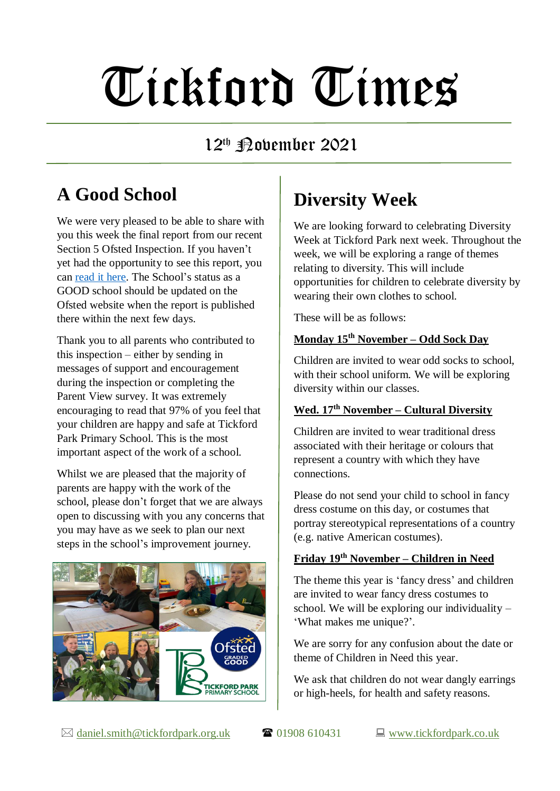# Tickford Times

## 12<sup>th</sup> Pobember 2021

## **A Good School**

We were very pleased to be able to share with you this week the final report from our recent Section 5 Ofsted Inspection. If you haven't yet had the opportunity to see this report, you can [read it here.](https://www.tickfordpark.co.uk/uploads/1/0/8/8/10881774/10200863_-_tickford_park_primary_-_135107_final.pdf) The School's status as a GOOD school should be updated on the Ofsted website when the report is published there within the next few days.

Thank you to all parents who contributed to this inspection – either by sending in messages of support and encouragement during the inspection or completing the Parent View survey. It was extremely encouraging to read that 97% of you feel that your children are happy and safe at Tickford Park Primary School. This is the most important aspect of the work of a school.

Whilst we are pleased that the majority of parents are happy with the work of the school, please don't forget that we are always open to discussing with you any concerns that you may have as we seek to plan our next steps in the school's improvement journey.



# **Diversity Week**

We are looking forward to celebrating Diversity Week at Tickford Park next week. Throughout the week, we will be exploring a range of themes relating to diversity. This will include opportunities for children to celebrate diversity by wearing their own clothes to school.

These will be as follows:

#### **Monday 15th November – Odd Sock Day**

Children are invited to wear odd socks to school, with their school uniform. We will be exploring diversity within our classes.

#### **Wed. 17th November – Cultural Diversity**

Children are invited to wear traditional dress associated with their heritage or colours that represent a country with which they have connections.

Please do not send your child to school in fancy dress costume on this day, or costumes that portray stereotypical representations of a country (e.g. native American costumes).

## **Friday 19th November – Children in Need**

The theme this year is 'fancy dress' and children are invited to wear fancy dress costumes to school. We will be exploring our individuality – 'What makes me unique?'.

We are sorry for any confusion about the date or theme of Children in Need this year.

We ask that children do not wear dangly earrings or high-heels, for health and safety reasons.